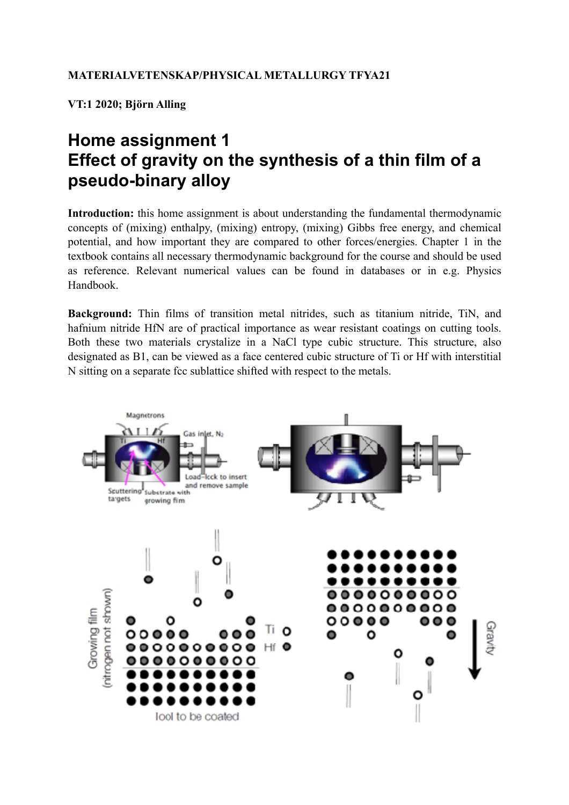**VT:1 2020; Björn Alling**

## **Home assignment 1 Effect of gravity on the synthesis of a thin film of a pseudo-binary alloy**

Introduction: this home assignment is about understanding the fundamental thermodynamic concepts of (mixing) enthalpy, (mixing) entropy, (mixing) Gibbs free energy, and chemical potential, and how important they are compared to other forces/energies. Chapter 1 in the textbook contains all necessary thermodynamic background for the course and should be used as reference. Relevant numerical values can be found in databases or in e.g. Physics Handbook.

**Background:** Thin films of transition metal nitrides, such as titanium nitride, TiN, and hafnium nitride HfN are of practical importance as wear resistant coatings on cutting tools. Both these two materials crystalize in a NaCl type cubic structure. This structure, also designated as B1, can be viewed as a face centered cubic structure of Ti or Hf with interstitial N sitting on a separate fcc sublattice shifted with respect to the metals.